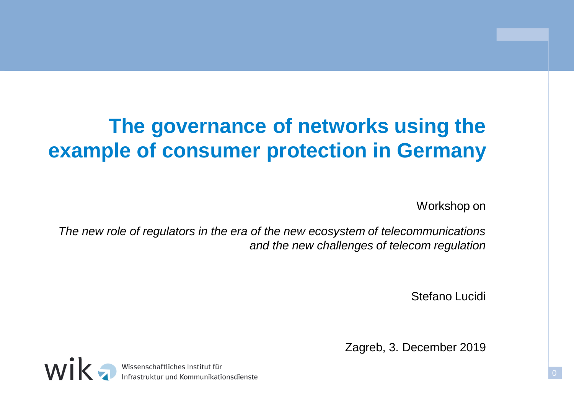# **The governance of networks using the example of consumer protection in Germany**

Workshop on

*The new role of regulators in the era of the new ecosystem of telecommunications and the new challenges of telecom regulation*

Stefano Lucidi

Zagreb, 3. December 2019

wik, Wissenschaftliches Institut für<br>Infrastruktur und Kommunikationsdienste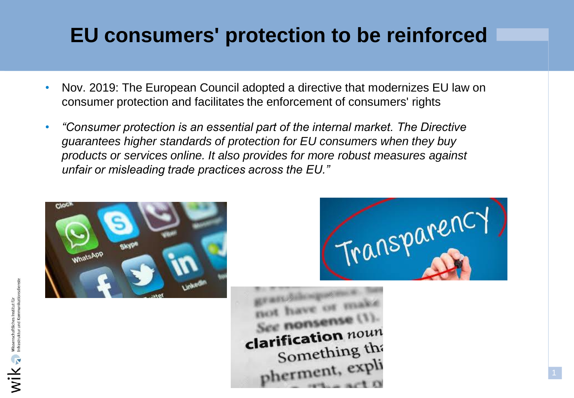# **EU consumers' protection to be reinforced**

- Nov. 2019: The European Council adopted a directive that modernizes EU law on consumer protection and facilitates the enforcement of consumers' rights
- *"Consumer protection is an essential part of the internal market. The Directive guarantees higher standards of protection for EU consumers when they buy products or services online. It also provides for more robust measures against unfair or misleading trade practices across the EU."*



Transparency

clarification noun Something the pherment, exp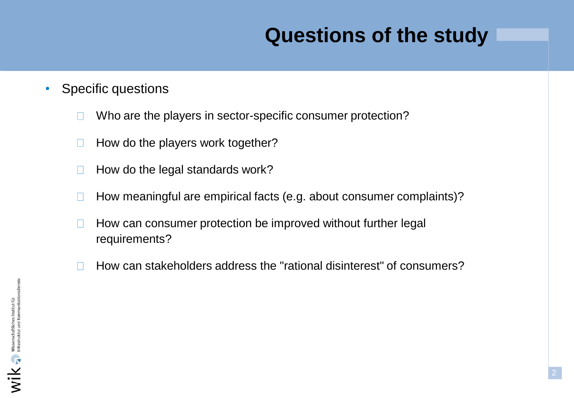### **Questions of the study**

- Specific questions
	- Who are the players in sector-specific consumer protection?  $\Box$
	- How do the players work together?  $\Box$
	- How do the legal standards work?  $\Box$
	- How meaningful are empirical facts (e.g. about consumer complaints)?  $\Box$
	- How can consumer protection be improved without further legal  $\Box$ requirements?
	- How can stakeholders address the "rational disinterest" of consumers?  $\Box$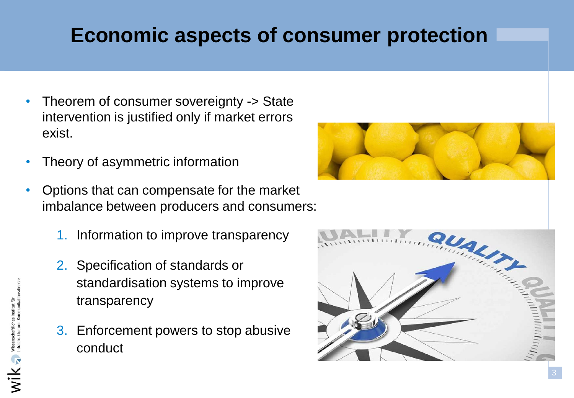### **Economic aspects of consumer protection**

- Theorem of consumer sovereignty -> State intervention is justified only if market errors exist.
- Theory of asymmetric information
- Options that can compensate for the market imbalance between producers and consumers:
	- 1. Information to improve transparency
	- 2. Specification of standards or standardisation systems to improve transparency
	- 3. Enforcement powers to stop abusive conduct



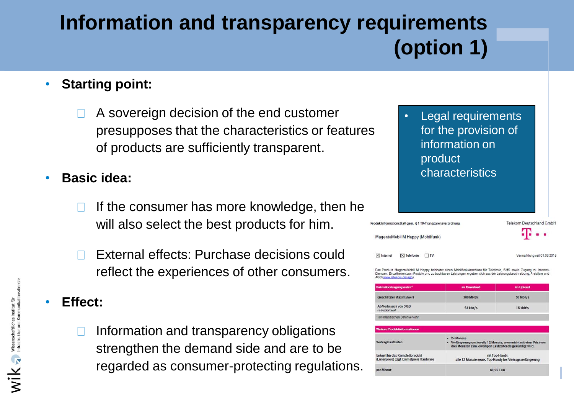# **Information and transparency requirements (option 1)**

#### • **Starting point:**

A sovereign decision of the end customer presupposes that the characteristics or features of products are sufficiently transparent.

• **Basic idea:** 

- If the consumer has more knowledge, then he will also select the best products for him.
- External effects: Purchase decisions could reflect the experiences of other consumers.

• **Effect:** 

Information and transparency obligations strengthen the demand side and are to be regarded as consumer-protecting regulations. • Legal requirements for the provision of information on product characteristics

#### Telekom Deutschland GmbH roduktinformationsblatt gem. \$1 TK-Transparenzverordnung MagentaMobil M Happy (Mobilfunk)  $\nabla$  Telefonia □™ Vermarktung seit 01.03.2016

dukt MagentaMobil M Happy beinhaltet einen Mobilfunk-Anschluss für Telefonie. SMS sowie Zugang zu Internet ensten. Einzelheiten zum Produkt und zu buchbaren Leistungen ergeben sich aus der Leistungsbeschreibung. Preisliste und

| Datenübertragungsraten*                 | im Download | im Upload |  |
|-----------------------------------------|-------------|-----------|--|
| Geschätzter Maximalwert                 | 300 Mbit/s  | 50 Mbit/s |  |
| Ab Verbrauch von 3 GB<br>reduziert auf: | 64 kbit/s   | 16 kbit/s |  |
| * im inländischen Datenverkehr          |             |           |  |

|                                          | - 24 Monate                                                                                                                     |
|------------------------------------------|---------------------------------------------------------------------------------------------------------------------------------|
| Vertragslaufzeiten                       | - Verlängerung um jeweils 12 Monate, wenn nicht mit einer Frist von<br>drei Monaten zum jeweiligen Laufzeitende gekündigt wird. |
| Entgelt für das Komplettprodukt          | mit Top-Handy,                                                                                                                  |
| (Listenpreis) zzgl. Einmalpreis Hardware | alle 12 Monate neues Top-Handy bei Vertragsverlängerung                                                                         |
| pro Monat:                               | 69.95 EUR                                                                                                                       |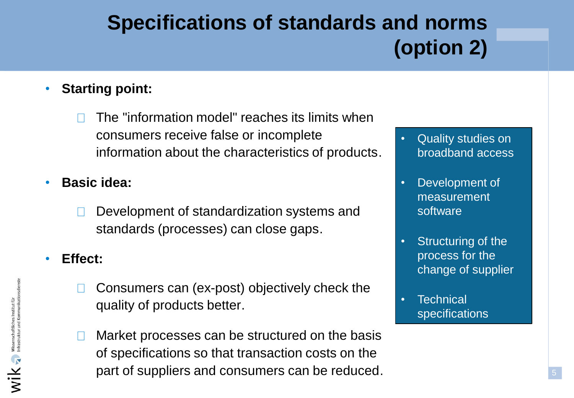# **Specifications of standards and norms (option 2)**

#### • **Starting point:**

- The "information model" reaches its limits when consumers receive false or incomplete information about the characteristics of products.
- **Basic idea:** 
	- Development of standardization systems and standards (processes) can close gaps.

#### • **Effect:**

- Consumers can (ex-post) objectively check the quality of products better.
- Market processes can be structured on the basis of specifications so that transaction costs on the part of suppliers and consumers can be reduced.
- Quality studies on broadband access
- Development of measurement software
- Structuring of the process for the change of supplier
- **Technical** specifications

5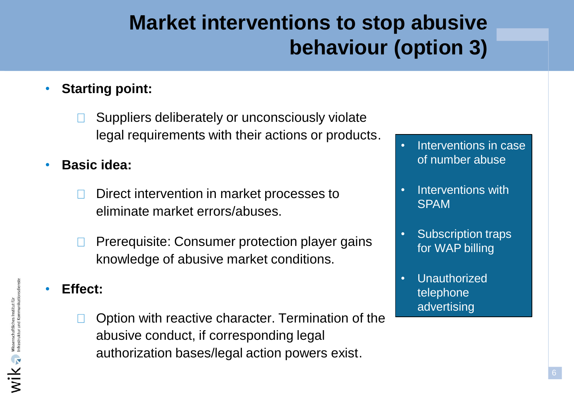### **Market interventions to stop abusive behaviour (option 3)**

#### • **Starting point:**

- Suppliers deliberately or unconsciously violate  $\Box$ legal requirements with their actions or products.
- **Basic idea:** 
	- Direct intervention in market processes to  $\Box$ eliminate market errors/abuses.
	- Prerequisite: Consumer protection player gains  $\mathbb{R}^n$ knowledge of abusive market conditions.

#### • **Effect:**

Option with reactive character. Termination of the abusive conduct, if corresponding legal authorization bases/legal action powers exist.

- Interventions in case of number abuse
- Interventions with SPAM
- Subscription traps for WAP billing
- **Unauthorized** telephone advertising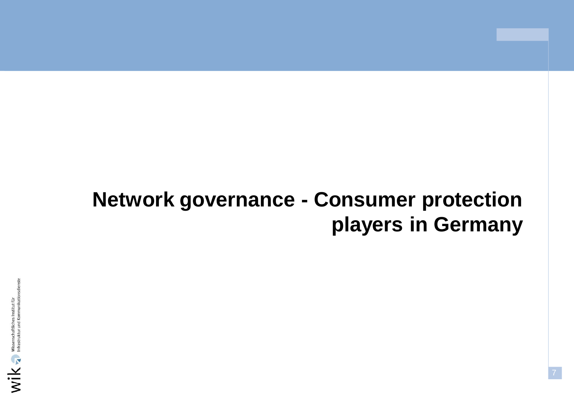### **Network governance - Consumer protection players in Germany**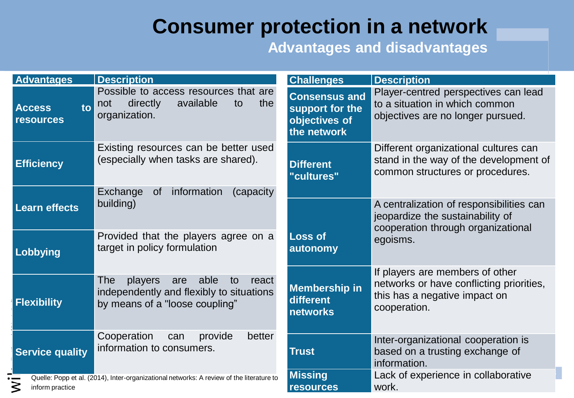#### **Consumer protection in a network**

#### **Advantages and disadvantages**

| <b>Advantages</b>                                                                                                | <b>Description</b>                                                                                                         | <b>Challenges</b>                                                       | <b>Description</b>                                                                                                           |
|------------------------------------------------------------------------------------------------------------------|----------------------------------------------------------------------------------------------------------------------------|-------------------------------------------------------------------------|------------------------------------------------------------------------------------------------------------------------------|
| to<br><b>Access</b><br><b>resources</b>                                                                          | Possible to access resources that are<br>directly<br>available<br>the<br>not<br>to<br>organization.                        | <b>Consensus and</b><br>support for the<br>objectives of<br>the network | Player-centred perspectives can lead<br>to a situation in which common<br>objectives are no longer pursued.                  |
| <b>Efficiency</b>                                                                                                | Existing resources can be better used<br>(especially when tasks are shared).                                               | <b>Different</b><br>"cultures"                                          | Different organizational cultures can<br>stand in the way of the development of<br>common structures or procedures.          |
| <b>Learn effects</b>                                                                                             | information<br>Exchange<br>(capacity)<br><b>of</b><br>building)                                                            |                                                                         | A centralization of responsibilities can<br>jeopardize the sustainability of<br>cooperation through organizational           |
| Lobbying                                                                                                         | Provided that the players agree on a<br>target in policy formulation                                                       | <b>Loss of</b><br>autonomy                                              | egoisms.                                                                                                                     |
| <b>Flexibility</b>                                                                                               | able<br>The<br>players<br>are<br>to<br>react<br>independently and flexibly to situations<br>by means of a "loose coupling" | <b>Membership in</b><br>different<br><b>networks</b>                    | If players are members of other<br>networks or have conflicting priorities,<br>this has a negative impact on<br>cooperation. |
| <b>Service quality</b>                                                                                           | Cooperation<br>provide<br>better<br>can<br>information to consumers.                                                       | <b>Trust</b>                                                            | Inter-organizational cooperation is<br>based on a trusting exchange of<br>information.                                       |
| Quelle: Popp et al. (2014), Inter-organizational networks: A review of the literature to<br>≳<br>inform practice |                                                                                                                            | <b>Missing</b><br><b>resources</b>                                      | Lack of experience in collaborative<br>work.                                                                                 |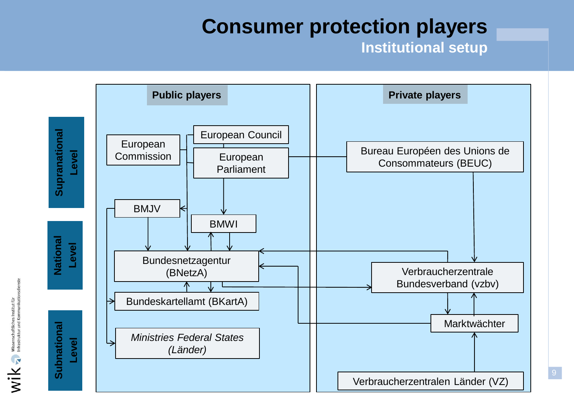#### **Consumer protection players**

**Institutional setup**



 $\mathbf{W}$   $\mathbf{K}$  Missenschaftliches Institut für Applieratie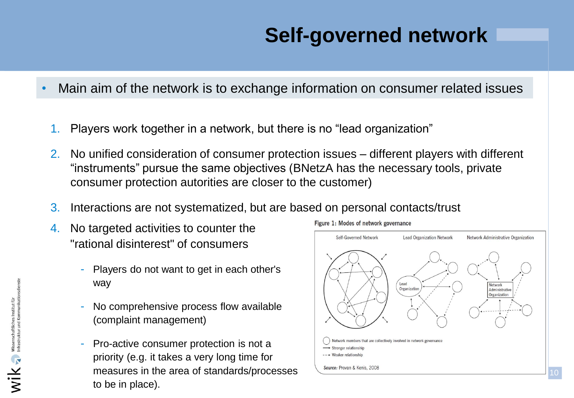# **Self-governed network**

Figure 1: Modes of network governance

- Main aim of the network is to exchange information on consumer related issues
	- 1. Players work together in a network, but there is no "lead organization"
	- 2. No unified consideration of consumer protection issues different players with different "instruments" pursue the same objectives (BNetzA has the necessary tools, private consumer protection autorities are closer to the customer)
	- 3. Interactions are not systematized, but are based on personal contacts/trust
	- 4. No targeted activities to counter the "rational disinterest" of consumers
		- Players do not want to get in each other's way
		- No comprehensive process flow available (complaint management)
		- Pro-active consumer protection is not a priority (e.g. it takes a very long time for measures in the area of standards/processes to be in place).

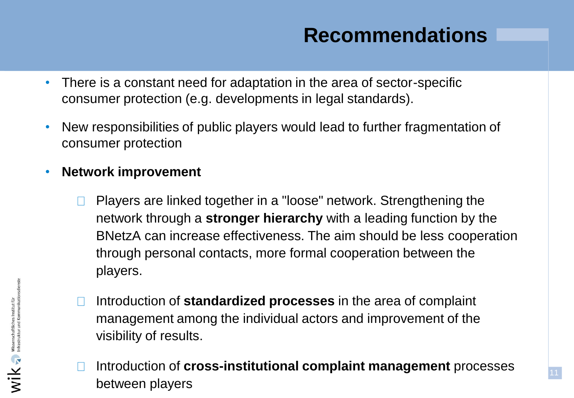#### **Recommendations**

- There is a constant need for adaptation in the area of sector-specific consumer protection (e.g. developments in legal standards).
- New responsibilities of public players would lead to further fragmentation of consumer protection
- **Network improvement** 
	- Players are linked together in a "loose" network. Strengthening the  $\Box$ network through a **stronger hierarchy** with a leading function by the BNetzA can increase effectiveness. The aim should be less cooperation through personal contacts, more formal cooperation between the players.
	- Introduction of **standardized processes** in the area of complaint  $\Box$ management among the individual actors and improvement of the visibility of results.
	- Introduction of **cross-institutional complaint management** processes  $\Box$ between players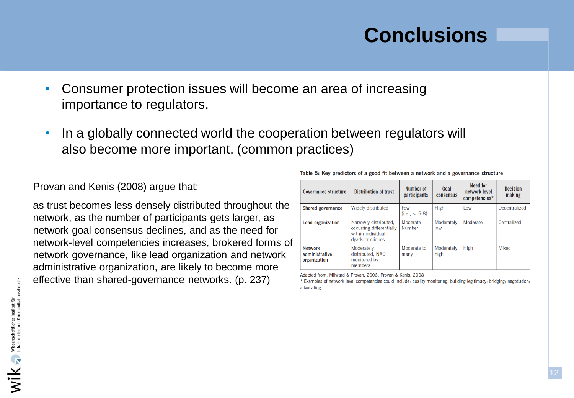#### **Conclusions**

- Consumer protection issues will become an area of increasing importance to regulators.
- In a globally connected world the cooperation between regulators will also become more important. (common practices)

Provan and Kenis (2008) argue that:

as trust becomes less densely distributed throughout the network, as the number of participants gets larger, as network goal consensus declines, and as the need for network-level competencies increases, brokered forms of network governance, like lead organization and network administrative organization, are likely to become more effective than shared-governance networks. (p. 237)

| Governance structure                             | <b>Distribution of trust</b>                                                               | Number of<br>participants | Goal<br>consensus  | Need for<br>network level<br>$competencies*$ | <b>Decision</b><br>making |
|--------------------------------------------------|--------------------------------------------------------------------------------------------|---------------------------|--------------------|----------------------------------------------|---------------------------|
| <b>Shared governance</b>                         | Widely distributed                                                                         | Few<br>$(i.e., < 6-8)$    | <b>High</b>        | Low                                          | Decentralized             |
| Lead organization                                | Narrowly distributed.<br>occurring differentially<br>within individual<br>dyads or cliques | Moderate<br>Number        | Moderately<br>low  | Moderate                                     | Centralized               |
| <b>Network</b><br>administrative<br>organization | Moderately<br>distributed, NAO<br>monitored by<br>members                                  | Moderate to<br>many       | Moderately<br>high | <b>High</b>                                  | Mixed                     |

Table 5: Key predictors of a good fit between a network and a governance structure

Adapted from: Milward & Provan, 2006; Provan & Kenis, 2008

\* Examples of network level competencies could include: quality monitoring; building legitimacy; bridging; negotiation; advocating